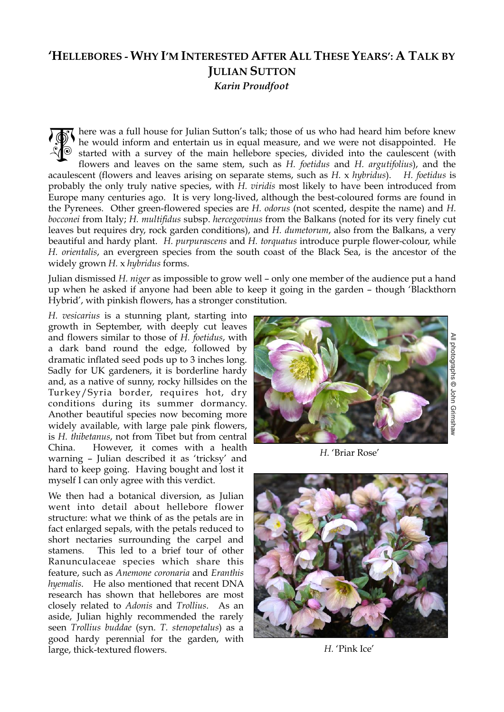## **'HELLEBORES - WHY I'M INTERESTED AFTER ALL THESE YEARS': A TALK BY JULIAN SUTTON** *Karin Proudfoot*

here was a full house for Julian Sutton's talk; those of us who had heard him before knew he would inform and entertain us in equal measure, and we were not disappointed. He started with a survey of the main hellebore species, divided into the caulescent (with flowers and leaves on the same stem, such as *H. foetidus* and *H. argutifolius*), and the acaulescent (flowers and leaves arising on separate stems, such as *H.* x *hybridus*). *H. foetidus* is probably the only truly native species, with *H. viridis* most likely to have been introduced from Europe many centuries ago. It is very long-lived, although the best-coloured forms are found in the Pyrenees. Other green-flowered species are *H. odorus* (not scented, despite the name) and *H. bocconei* from Italy; *H. multifidus* subsp. *hercegovinus* from the Balkans (noted for its very finely cut leaves but requires dry, rock garden conditions), and *H. dumetorum*, also from the Balkans, a very beautiful and hardy plant. *H. purpurascens* and *H. torquatus* introduce purple flower-colour, while *H. orientalis*, an evergreen species from the south coast of the Black Sea, is the ancestor of the widely grown *H.* x *hybridus* forms. 高

Julian dismissed *H. niger* as impossible to grow well – only one member of the audience put a hand up when he asked if anyone had been able to keep it going in the garden – though 'Blackthorn Hybrid', with pinkish flowers, has a stronger constitution.

*H. vesicarius* is a stunning plant, starting into growth in September, with deeply cut leaves and flowers similar to those of *H. foetidus*, with a dark band round the edge, followed by dramatic inflated seed pods up to 3 inches long. Sadly for UK gardeners, it is borderline hardy and, as a native of sunny, rocky hillsides on the Turkey/Syria border, requires hot, dry conditions during its summer dormancy. Another beautiful species now becoming more widely available, with large pale pink flowers, is *H. thibetanus*, not from Tibet but from central China. However, it comes with a health warning – Julian described it as 'tricksy' and hard to keep going. Having bought and lost it myself I can only agree with this verdict.

We then had a botanical diversion, as Julian went into detail about hellebore flower structure: what we think of as the petals are in fact enlarged sepals, with the petals reduced to short nectaries surrounding the carpel and stamens. This led to a brief tour of other Ranunculaceae species which share this feature, such as *Anemone coronaria* and *Eranthis hyemalis*. He also mentioned that recent DNA research has shown that hellebores are most closely related to *Adonis* and *Trollius*. As an aside, Julian highly recommended the rarely seen *Trollius buddae* (syn. *T. stenopetalus*) as a good hardy perennial for the garden, with large, thick-textured flowers.



*H.* 'Briar Rose'



*H.* 'Pink Ice'